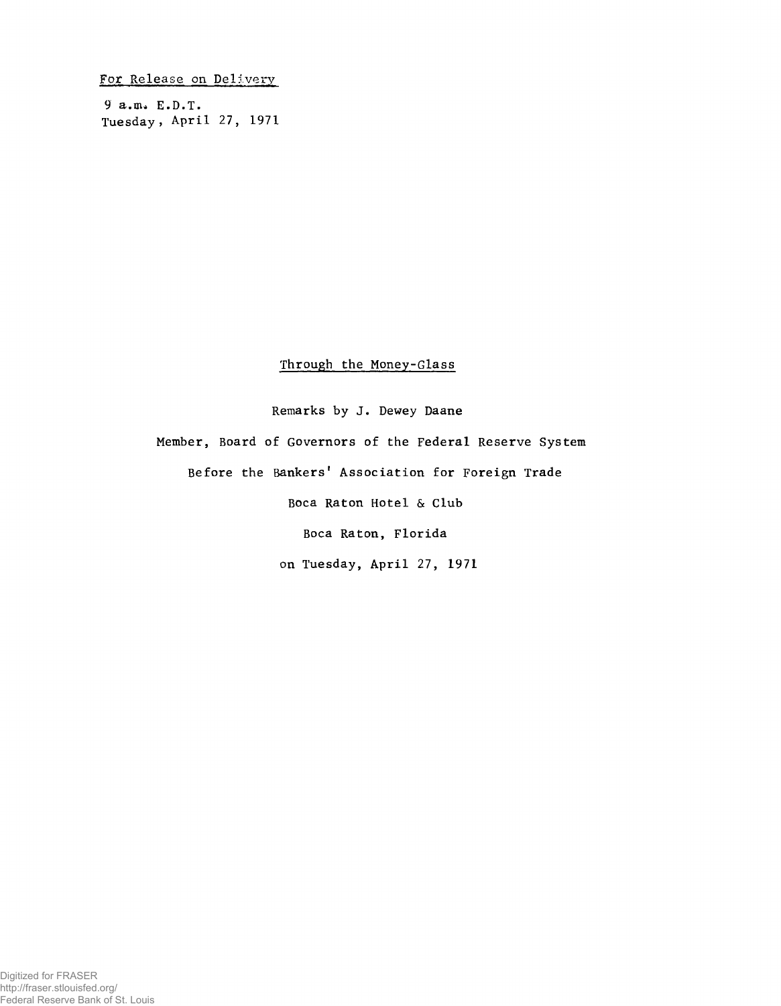Fo*t* Release on Delivery

**9 a.nu E.D.Ï. Tuesday, April 27, 1971**

## Through the Money-Glass

Remarks by J. Dewey Daane Member, Board of Governors of the Federal Reserve System Before the Bankers' Association for Foreign Trade Boca Raton Hotel & Club Boca Raton, Florida on Tuesday, April **27, 1971**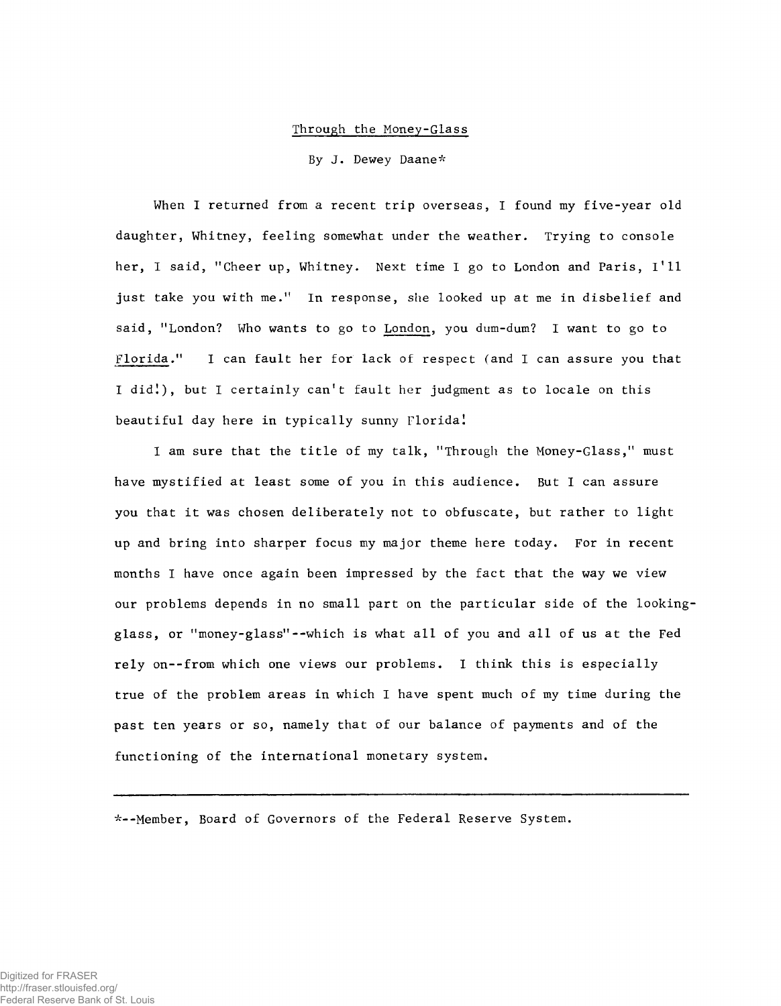## Through the Money-Glass

By J. Dewey Daane\*

When I returned from a recent trip overseas, I found my five-year old daughter, Whitney, feeling somewhat under the weather. Trying to console her, I said, "Cheer up, Whitney. Next time I go to London and Paris, 1\*11 just take you with me." In response, she looked up at me in disbelief and said, "London? Who wants to go to London, you dum-dum? I want to go to Florida." I can fault her for lack of respect (and I can assure you that I did!), but I certainly can't fault her judgment as to locale on this beautiful day here in typically sunny Floridal

I am sure that the title of my talk, "Through the Money-Glass," must have mystified at least some of you in this audience. But I can assure you that it was chosen deliberately not to obfuscate, but rather to light up and bring into sharper focus my major theme here today. For in recent months I have once again been impressed by the fact that the way we view our problems depends in no small part on the particular side of the lookingglass, or "money-glass"--which is what all of you and all of us at the Fed rely on--from which one views our problems. I think this is especially true of the problem areas in which I have spent much of my time during the past ten years or so, namely that of our balance of payments and of the functioning of the international monetary system.

---Member, Board of Governors of the Federal Reserve System.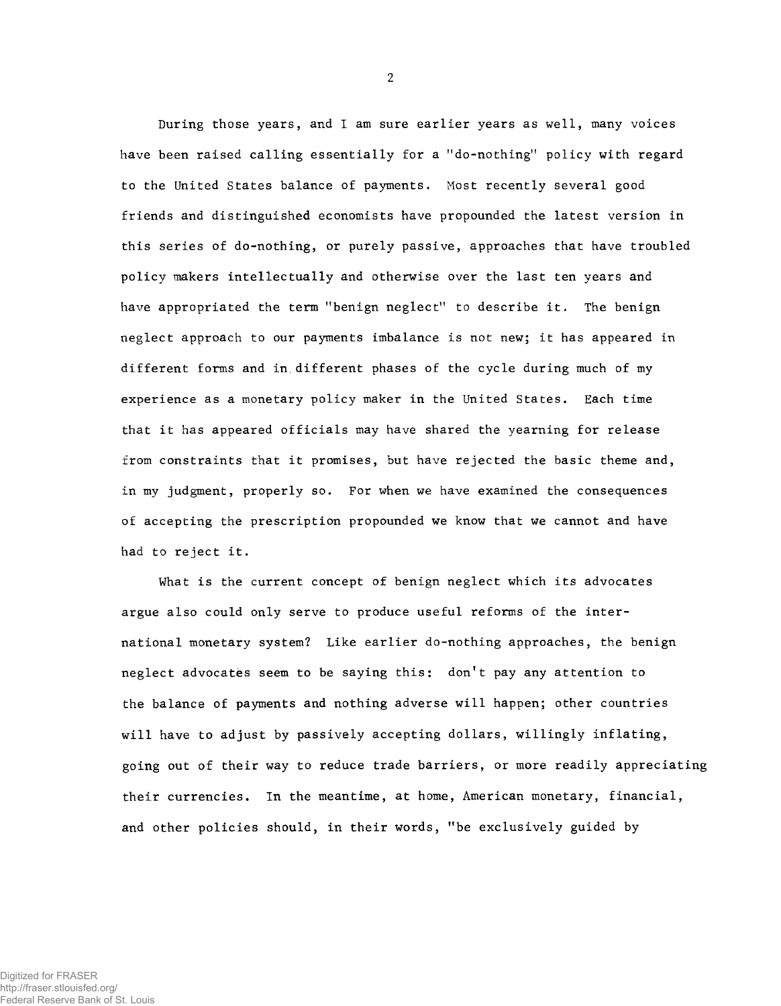During those years, and I am sure earlier years as well, many voices have been raised calling essentially for a "do-nothing" policy with regard to the United States balance of payments, Most recently several good friends and distinguished economists have propounded the latest version in this series of do-nothing, or purely passive, approaches that have troubled policy makers intellectually and otherwise over the last ten years and have appropriated the term "benign neglect" to describe it. The benign neglect approach to our payments imbalance is not new; it has appeared in different forms and in different phases of the cycle during much of my experience as a monetary policy maker in the United States. Each time that it has appeared officials may have shared the yearning for release from constraints that it promises, but have rejected the basic theme and, in my judgment, properly so. For when we have examined the consequences of accepting the prescription propounded we know that we cannot and have had to reject it.

What is the current concept of benign neglect which its advocates argue also could only serve to produce useful reforms of the international monetary system? Like earlier do-nothing approaches, the benign neglect advocates seem to be saying this: don't pay any attention to the balance of payments and nothing adverse will happen; other countries will have to adjust by passively accepting dollars, willingly inflating, going out of their way to reduce trade barriers, or more readily appreciating their currencies. In the meantime, at home, American monetary, financial, and other policies should, in their words, "be exclusively guided by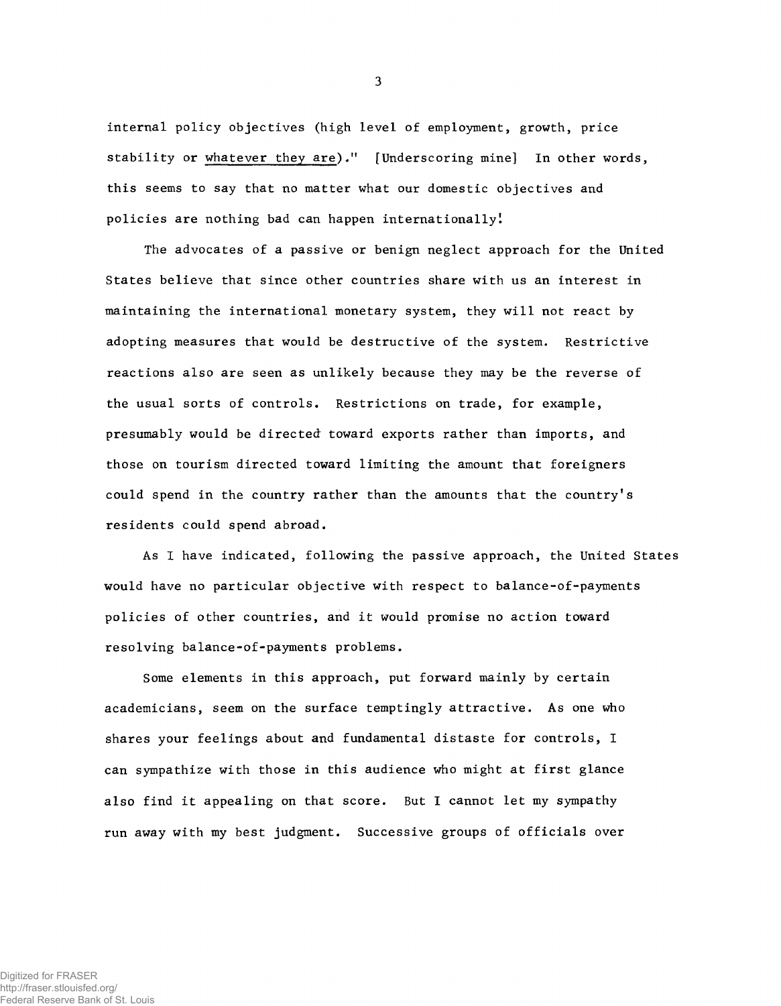internal policy objectives (high level of employment, growth, price stability or whatever they are)." [Underscoring mine] In other words, this seems to say that no matter what our domestic objectives and policies are nothing bad can happen internationally!

The advocates of a passive or benign neglect approach for the United States believe that since other countries share with us an interest in maintaining the international monetary system, they will not react by adopting measures that would be destructive of the system. Restrictive reactions also are seen as unlikely because they may be the reverse of the usual sorts of controls. Restrictions on trade, for example, presumably would be directed toward exports rather than imports, and those on tourism directed toward limiting the amount that foreigners could spend in the country rather than the amounts that the country's residents could spend abroad.

As I have indicated, following the passive approach, the United States would have no particular objective with respect to balance-of-payments policies of other countries, and it would promise no action toward resolving balance-of-payments problems.

Some elements in this approach, put forward mainly by certain academicians, seem on the surface temptingly attractive. As one who shares your feelings about and fundamental distaste for controls, I can sympathize with those in this audience who might at first glance also find it appealing on that score. But I cannot let my sympathy run away with my best judgment. Successive groups of officials over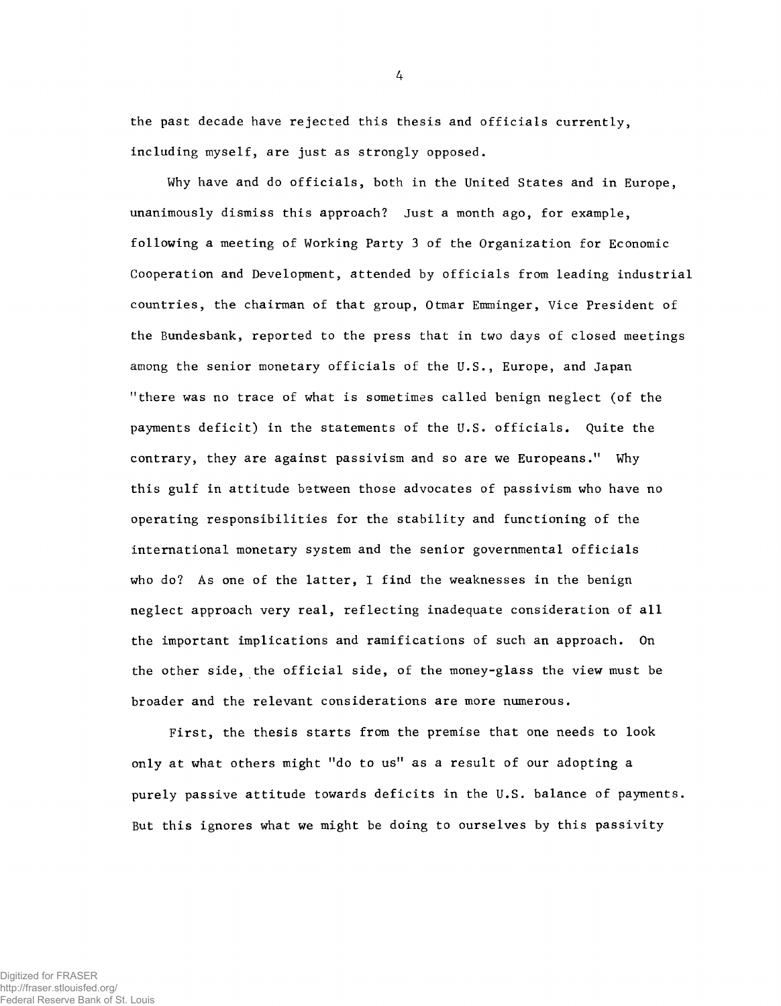the past decade have rejected this thesis and officials currently, including myself, are just as strongly opposed.

Why have and do officials, both in the United States and in Europe, unanimously dismiss this approach? Just a month ago, for example, following a meeting of Working Party 3 of the Organization for Economic Cooperation and Development, attended by officials from leading industrial countries, the chairman of that group, Otmar Emminger, Vice President of the Bundesbank, reported to the press that in two days of closed meetings among the senior monetary officials of the U.S., Europe, and Japan ''there was no trace of what is sometimes called benign neglect (of the payments deficit) in the statements of the U.S. officials. Quite the contrary, they are against passivism and so are we Europeans." Why this gulf in attitude between those advocates of passivism who have no operating responsibilities for the stability and functioning of the international monetary system and the senior governmental officials who do? As one of the latter, I find the weaknesses in the benign neglect approach very real, reflecting inadequate consideration of all the important implications and ramifications of such an approach. On the other side, the official side, of the money-glass the view must be broader and the relevant considerations are more numerous.

First, the thesis starts from the premise that one needs to look only at what others might "do to us" as a result of our adopting a purely passive attitude towards deficits in the U.S. balance of payments. But this ignores what we might be doing to ourselves by this passivity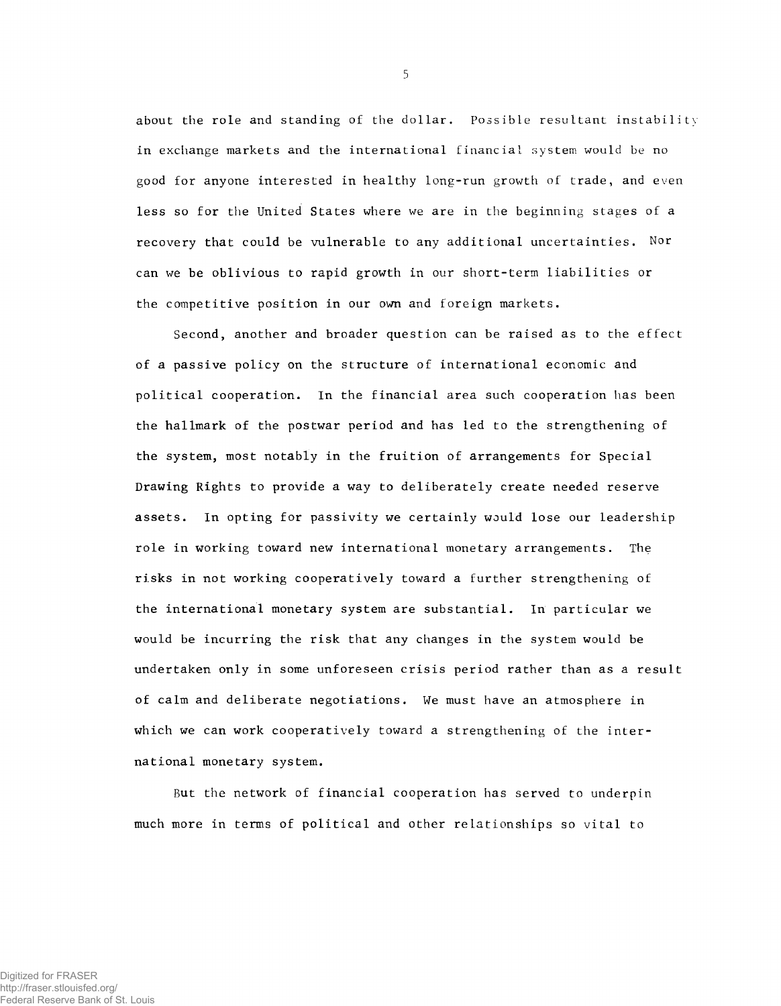about the role and standing of the dollar. **Possible** resultant **instability** in exchange markets and the international **financial system** would **be no** good for anyone interested in healthy long-run growth **of** trade, and **even** less so for the United States where we are in the beginning stages of a recovery that could be vulnerable to any additional uncertainties. Nor can we be oblivious to rapid growth in our short-term liabilities or the competitive position in our own and foreign markets.

Second, another and broader question can be raised as to the effect of a passive policy on the structure of international economic and political cooperation. In the financial area such cooperation has been the hallmark of the postwar period and has led to the strengthening of the system, most notably in the fruition of arrangements for Special Drawing Rights to provide a way to deliberately create needed reserve assets. In opting for passivity we certainly would lose our leadership role in working toward new international monetary arrangements. The risks in not working cooperatively toward a further strengthening of the international monetary system are substantial. In particular we would be incurring the risk that any changes in the system would be undertaken only in some unforeseen crisis period rather than as a result of calm and deliberate negotiations. We must have an atmosphere in which we can work cooperatively toward a strengthening of the international monetary system.

But the network of financial cooperation has served to underpin much more in terms of political and other relationships so vital to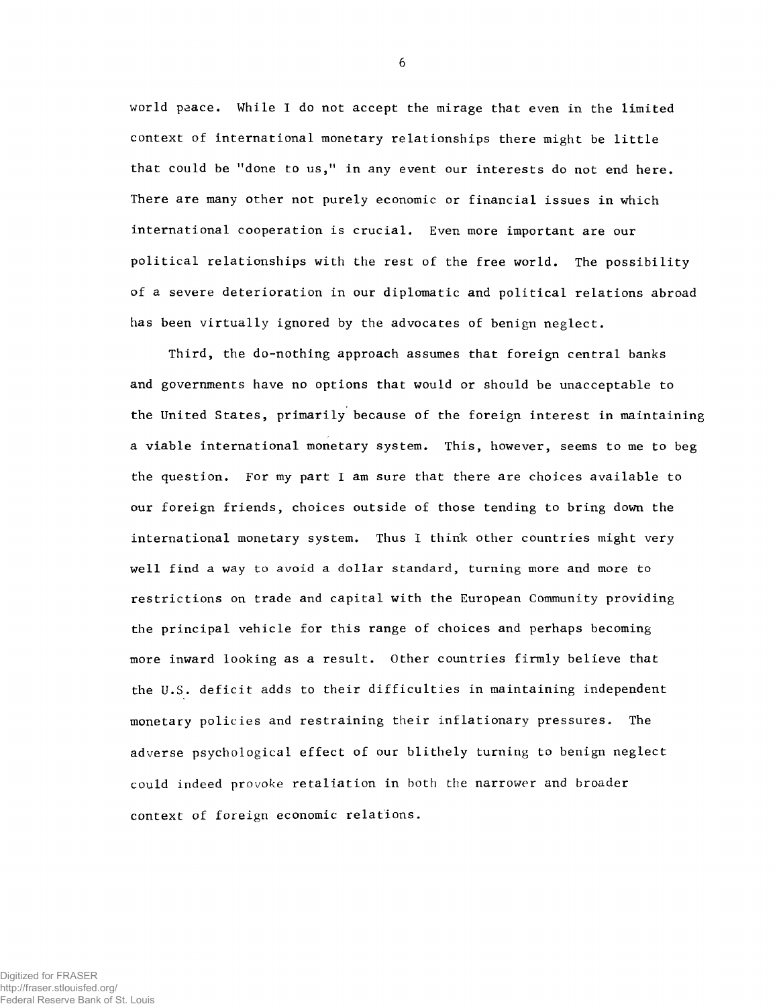world peace. While I do not accept the mirage that even in the limited context of international monetary relationships there might be little that could be "done to us," in any event our interests do not end here. There are many other not purely economic or financial issues in which international cooperation is crucial. Even more important are our political relationships with the rest of the free world. The possibility of a severe deterioration in our diplomatic and political relations abroad has been virtually ignored by the advocates of benign neglect.

Third, the do-nothing approach assumes that foreign central banks and governments have no options that would or should be unacceptable to the United States, primarily because of the foreign interest in maintaining a viable international monetary system. This, however, seems to me to beg the question. For my part I am sure that there are choices available to our foreign friends, choices outside of those tending to bring down the international monetary system. Thus I think other countries might very well find a way to avoid a dollar standard, turning more and more to restrictions on trade and capital with the European Community providing the principal vehicle for this range of choices and perhaps becoming more inward looking as a result. Other countries firmly believe that the U.S. deficit adds to their difficulties in maintaining independent monetary policies and restraining their inflationary pressures. The adverse psychological effect of our blithely turning to benign neglect could indeed provoke retaliation in both the narrower and broader context of foreign economic relations.

Digitized for FRASER http://fraser.stlouisfed.org/ Federal Reserve Bank of St. Louis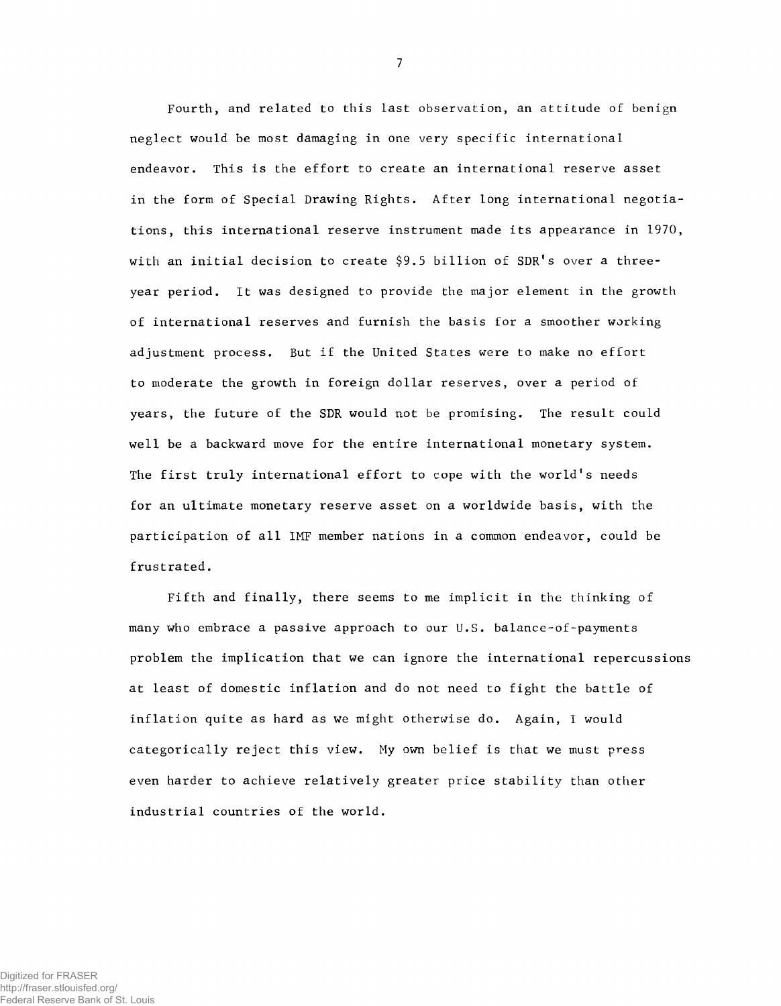Fourth, and related to this last observation, an attitude of benign neglect would be most damaging in one very specific international endeavor. This is the effort to create an international reserve asset in the form of Special Drawing Rights. After long international negotiations, this international reserve instrument made its appearance in 1970, with an initial decision to create  $$9.5$  billion of SDR's over a threeyear period. It was designed to provide the major element in the growth of international reserves and furnish the basis for a smoother working adjustment process. But if the United States were to make no effort to moderate the growth in foreign dollar reserves, over a period of years, the future of the SDR would not be promising. The result could well be a backward move for the entire international monetary system. The first truly international effort to cope with the world's needs for an ultimate monetary reserve asset on a worldwide basis, with the participation of all IMF member nations in a common endeavor, could be frustrated.

Fifth and finally, there seems to me implicit in the thinking of many who embrace a passive approach to our U.S. balance-of-payments problem the implication that we can ignore the international repercussions at least of domestic inflation and do not need to fight the battle of inflation quite as hard as we might otherwise do. Again, I would categorically reject this view. My own belief is that we must press even harder to achieve relatively greater price stability than other industrial countries of the world.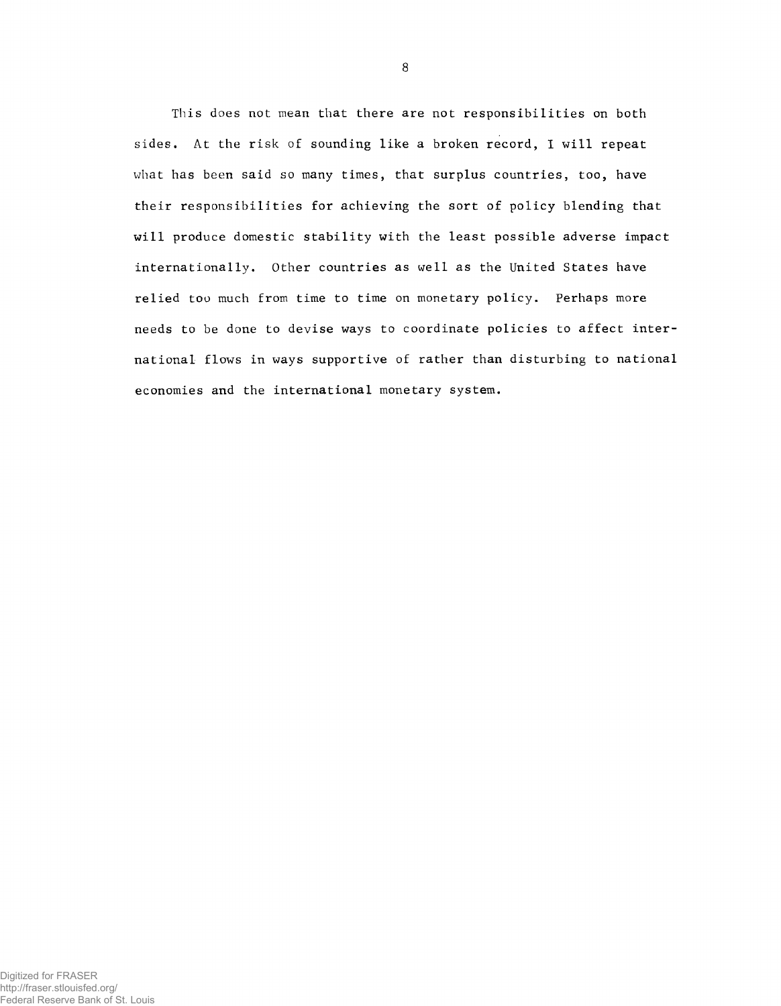This does not mean that there are not responsibilities on both sides. At the risk of sounding like a broken record, 1 will repeat what has been said so many times, that surplus countries, too, have their responsibilities for achieving the sort of policy blending that will produce domestic stability with the least possible adverse impact internationally. Other countries as well as the United States have relied too much from time to time on monetary policy. Perhaps more needs to be done to devise ways to coordinate policies to affect international flows in ways supportive of rather than disturbing to national economies and the international monetary system.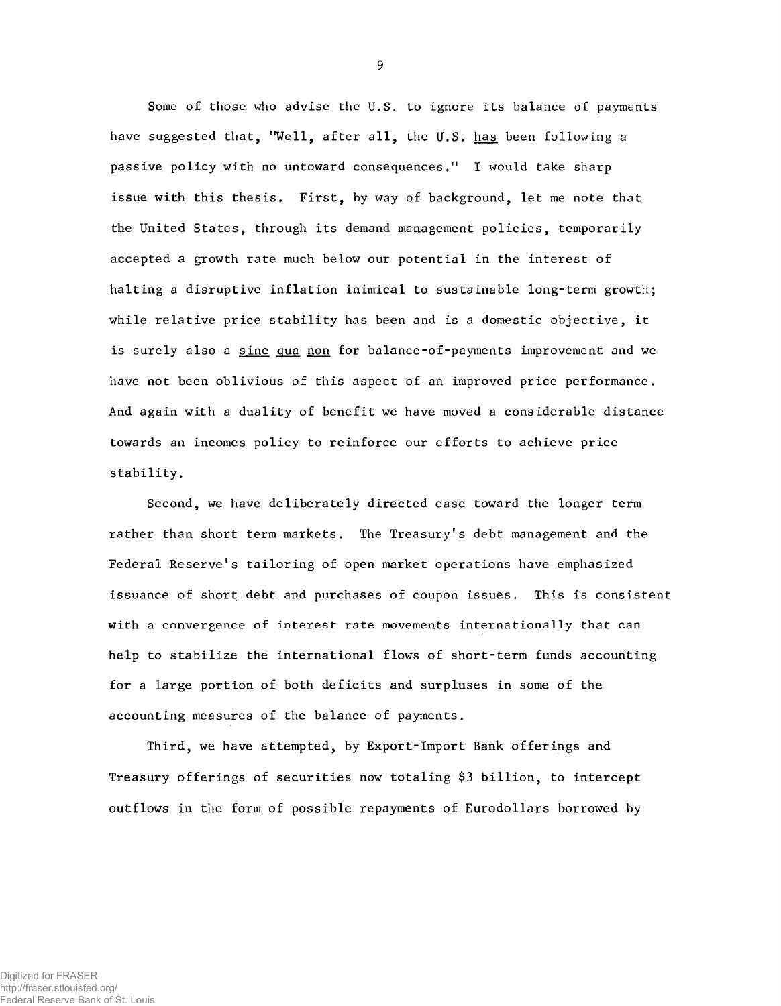Some of those who advise the U.S. to ignore its balance of payments have suggested that, "Well, after all, the U.S. has been following a passive policy with no untoward consequences." I would take sharp issue with this thesis. First, by way of background, let me note that the United States, through its demand management policies, temporarily accepted a growth rate much below our potential in the interest of halting a disruptive inflation inimical to sustainable long-term growth; while relative price stability has been and is a domestic objective, it is surely also a sine qua non for balance-of-payments improvement and we have not been oblivious of this aspect of an improved price performance. And again with a duality of benefit we have moved a considerable distance towards an incomes policy to reinforce our efforts to achieve price stability.

Second, we have deliberately directed ease toward the longer term rather than short term markets. The Treasury's debt management and the Federal Reserve's tailoring of open market operations have emphasized issuance of short debt and purchases of coupon issues. This is consistent with a convergence of interest rate movements internationally that can help to stabilize the international flows of short-term funds accounting for a large portion of both deficits and surpluses in some of the accounting measures of the balance of payments.

Third, we have attempted, by Export-Import Bank offerings and Treasury offerings of securities now totaling \$3 billion, to intercept outflows in the form of possible repayments of Eurodollars borrowed by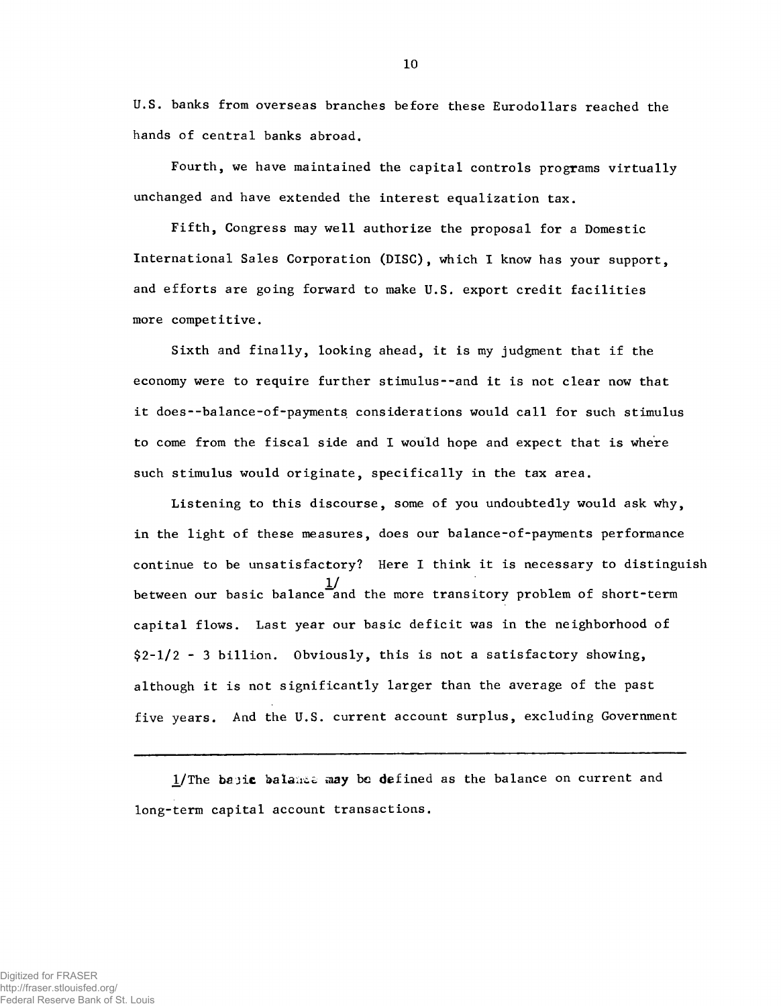**U.S. banks from overseas branches before these Eurodollars reached the hands of central banks abroad.**

**Fourth, we have maintained the capital controls programs virtually unchanged and have extended the interest equalization tax.**

**Fifth, Congress may well authorize the proposal for a Domestic International Sales Corporation (DISC), which I know has your support, and efforts are going forward to make U.S. export credit facilities more competitive.**

**Sixth and finally, looking ahead, it is my judgment that if the economy were to require further stimulus--and it is not clear now that it does--balance-of-payments considerations would call for such stimulus to come from the fiscal side and I would hope and expect that is where such stimulus would originate, specifically in the tax area.**

**Listening to this discourse, some of you undoubtedly would ask why, in the light of these measures, does our balance-of-payments performance** continue to be unsatisfactory? Here I think it is necessary to distinguish 1**/ between our basic balance and the more transitory problem of short-term capital flows. Last year our basic deficit was in the neighborhood of \$2-1/2 - 3 billion. Obviously, this is not a satisfactory showing, although it is not significantly larger than the average of the past five years. And the U.S. current account surplus, excluding Government**

**1/The** b&jic **balaaco may be defined as the balance on current and long-term capital account transactions.**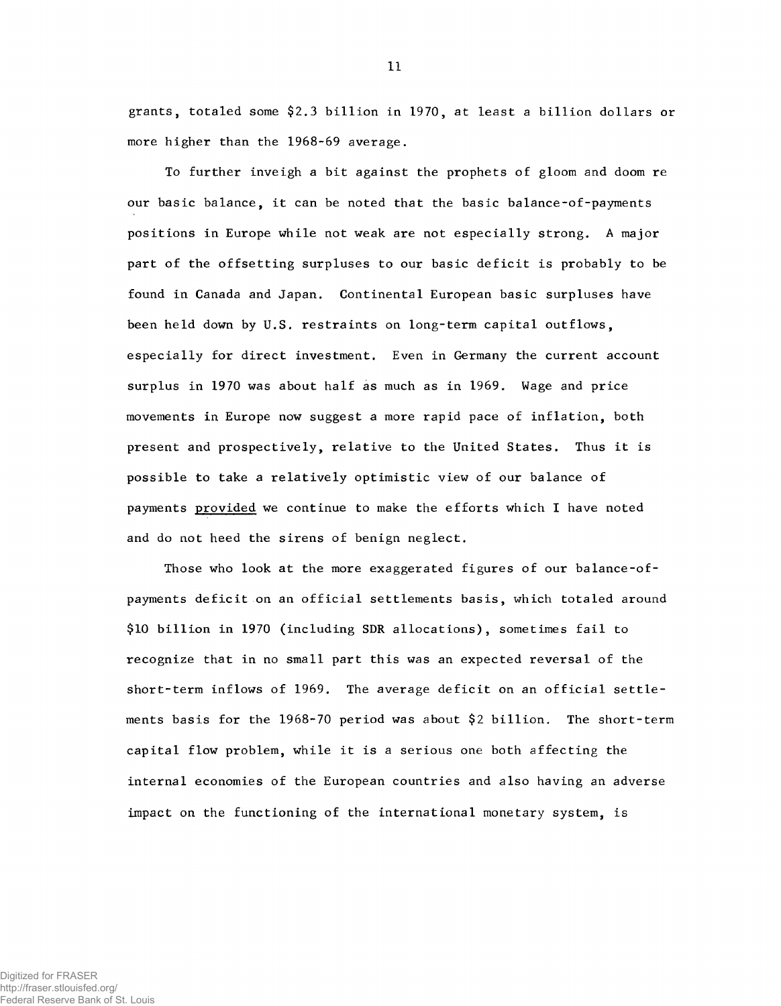grants, totaled some \$2.3 billion in 1970, at least a billion dollars or more higher than the 1968-69 average.

To further inveigh a bit against the prophets of gloom and doom re our basic balance, it can be noted that the basic balance-of-payments positions in Europe while not weak are not especially strong. A major part of the offsetting surpluses to our basic deficit is probably to be found in Canada and Japan. Continental European basic surpluses have been held down by U.S. restraints on long-term capital outflows, especially for direct investment. Even in Germany the current account surplus in 1970 was about half as much as in 1969. Wage and price movements in Europe now suggest a more rapid pace of inflation, both present and prospectively, relative to the United States. Thus it is possible to take a relatively optimistic view of our balance of payments provided we continue to make the efforts which I have noted and do not heed the sirens of benign neglect.

Those who look at the more exaggerated figures of our balance-ofpayments deficit on an official settlements basis, which totaled around \$10 billion in 1970 (including SDR allocations), sometimes fail to recognize that in no small part this was an expected reversal of the short-term inflows of 1969. The average deficit on an official settlements basis for the 1968-70 period was about \$2 billion. The short-term capital flow problem, while it is a serious one both affecting the internal economies of the European countries and also having an adverse impact on the functioning of the international monetary system, is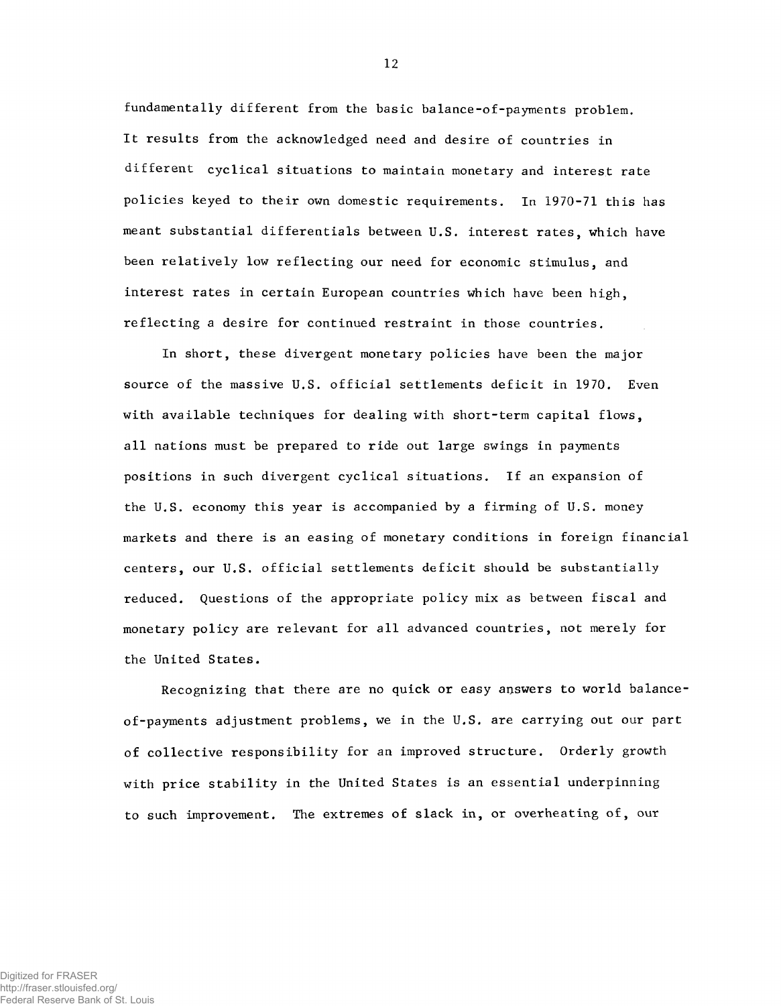fundamentally different from the basic balance-of-payments problem. It results from the acknowledged need and desire of countries in different cyclical situations to maintain monetary and interest rate policies keyed to their own domestic requirements. In 1970-71 this has meant substantial differentials between U.S. interest rates, which have been relatively low reflecting our need for economic stimulus, and interest rates in certain European countries which have been high, reflecting a desire for continued restraint in those countries.

In short, these divergent monetary policies have been the major source of the massive U.S. official settlements deficit in 1970. Even with available techniques for dealing with short-term capital flows, all nations must be prepared to ride out large swings in payments positions in such divergent cyclical situations. If an expansion of the U.S. economy this year is accompanied by a firming of U.S. money markets and there is an easing of monetary conditions in foreign financial centers, our U.S. official settlements deficit should be substantially reduced. Questions of the appropriate policy mix as between fiscal and monetary policy are relevant for all advanced countries, not merely for the United States.

Recognizing that there are no quick or easy answers to world balanceof-payments adjustment problems, we in the U.S. are carrying out our part of collective responsibility for an improved structure. Orderly growth with price stability in the United States is an essential underpinning to such improvement. The extremes of slack in, or overheating of, our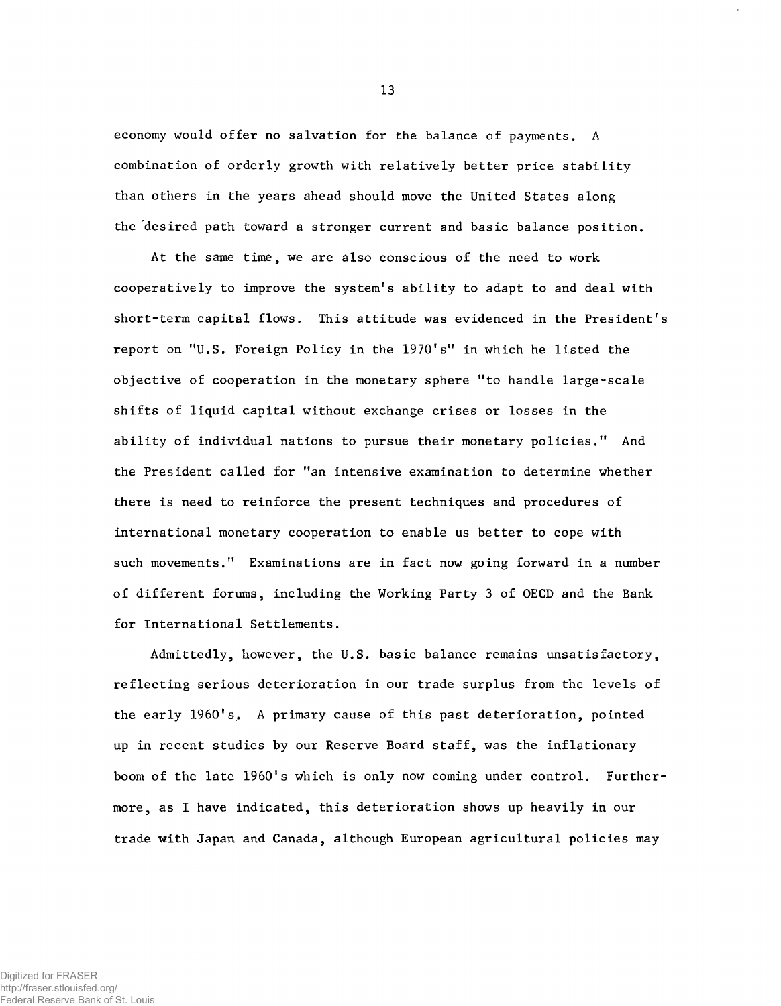economy would offer no salvation for the balance of payments. A combination of orderly growth with relatively better price stability than others in the years ahead should move the United States along the desired path toward a stronger current and basic balance position.

At the same time, we are also conscious of the need to work cooperatively to improve the system's ability to adapt to and deal with short-term capital flows. This attitude was evidenced in the President's report on "U.S. Foreign Policy in the 1970's" in which he listed the objective of cooperation in the monetary sphere "to handle large-scale shifts of liquid capital without exchange crises or losses in the ability of individual nations to pursue their monetary policies." And the President called for "an intensive examination to determine whether there is need to reinforce the present techniques and procedures of international monetary cooperation to enable us better to cope with such movements." Examinations are in fact now going forward in a number of different forums, including the Working Party 3 of OECD and the Bank for International Settlements.

Admittedly, however, the U.S. basic balance remains unsatisfactory, reflecting serious deterioration in our trade surplus from the levels of the early I960's. A primary cause of this past deterioration, pointed up in recent studies by our Reserve Board staff, was the inflationary boom of the late 1960's which is only now coming under control. Furthermore, as I have indicated, this deterioration shows up heavily in our trade with Japan and Canada, although European agricultural policies may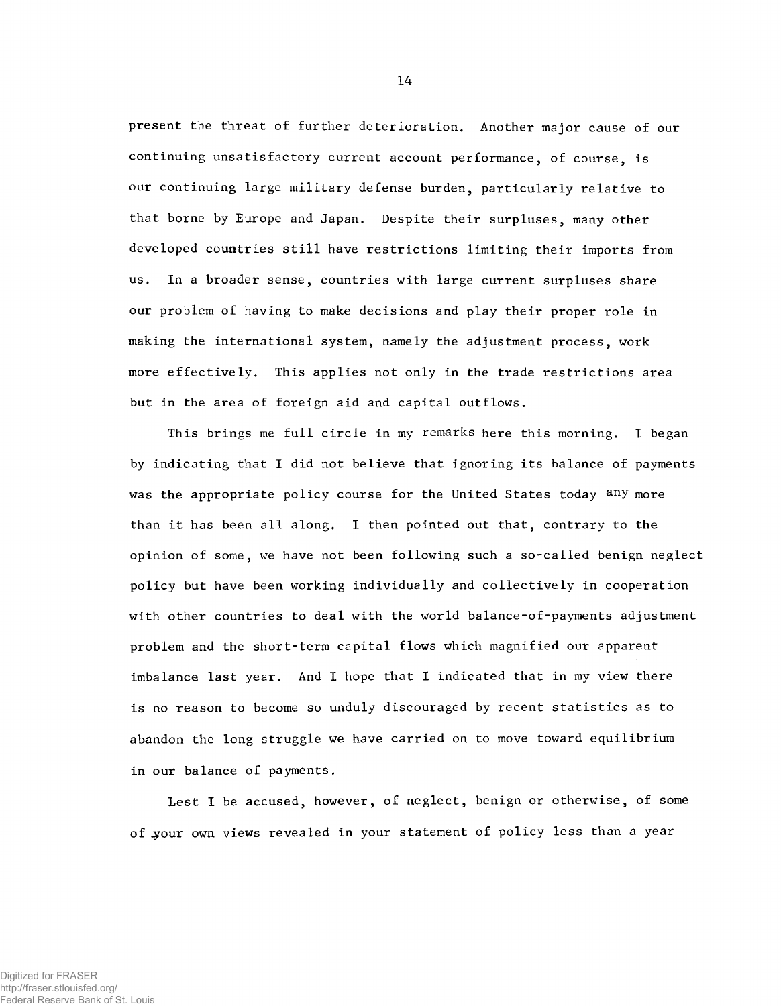present the threat of further deterioration. Another major cause of our continuing unsatisfactory current account performance, of course, is our continuing large military defense burden, particularly relative to that borne by Europe and Japan. Despite their surpluses, many other developed countries still have restrictions limiting their imports from us. In a broader sense, countries with large current surpluses share our problem of having to make decisions and play their proper role in making the international system, namely the adjustment process, work more effectively. This applies not only in the trade restrictions area but in the area of foreign aid and capital outflows.

This brings me full circle in my remarks here this morning. I began by indicating that I did not believe that ignoring its balance of payments was the appropriate policy course for the United States today any more than it has been all along. I then pointed out that, contrary to the opinion of some, we have not been following such a so-called benign neglect policy but have been working individually and collectively in cooperation with other countries to deal with the world balance-of-payments adjustment problem and the short-term capital flows which magnified our apparent imbalance last year. And I hope that I indicated that in my view there is no reason to become so unduly discouraged by recent statistics as to abandon the long struggle we have carried on to move toward equilibrium in our balance of payments.

Lest I be accused, however, of neglect, benign or otherwise, of some of your own views revealed in your statement of policy less than a year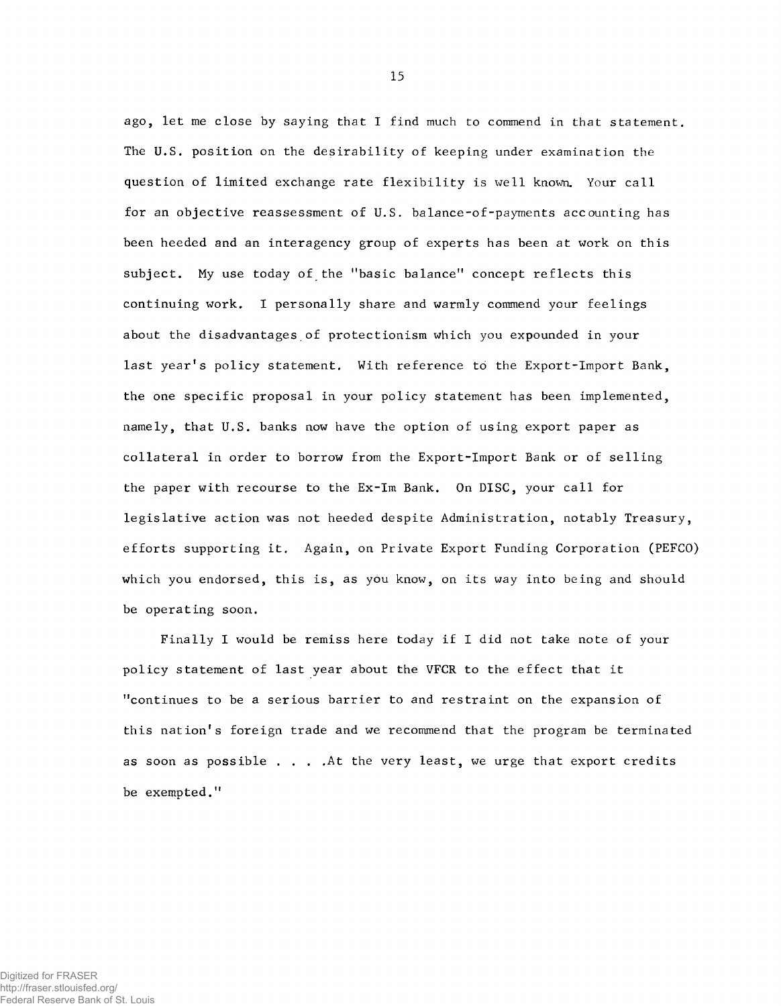ago, let me close by saying that I find much to commend in that statement. The U.S. position on the desirability of keeping under examination the question of limited exchange rate flexibility is well known. Your call for an objective reassessment of U.S. balance-of-payments accounting has been heeded and an interagency group of experts has been at work on this subject. My use today of the "basic balance" concept reflects this continuing work. I personally share and warmly commend your feelings about the disadvantages of protectionism which you expounded in your last year's policy statement. With reference to the Export-Import Bank, the one specific proposal in your policy statement has been implemented, namely, that U.S. banks now have the option of using export paper as collateral in order to borrow from the Export-Import Bank or of selling the paper with recourse to the Ex-Im Bank. On DISC, your call for legislative action was not heeded despite Administration, notably Treasury, efforts supporting it. Again, on Private Export Funding Corporation (PEFCO) which you endorsed, this is, as you know, on its way into being and should be operating soon.

Finally I would be remiss here today if I did not take note of your policy statement of last year about the VFCR to the effect that it "continues to be a serious barrier to and restraint on the expansion of this nation's foreign trade and we recommend that the program be terminated as soon as possible . . . .At the very least, we urge that export credits be exempted."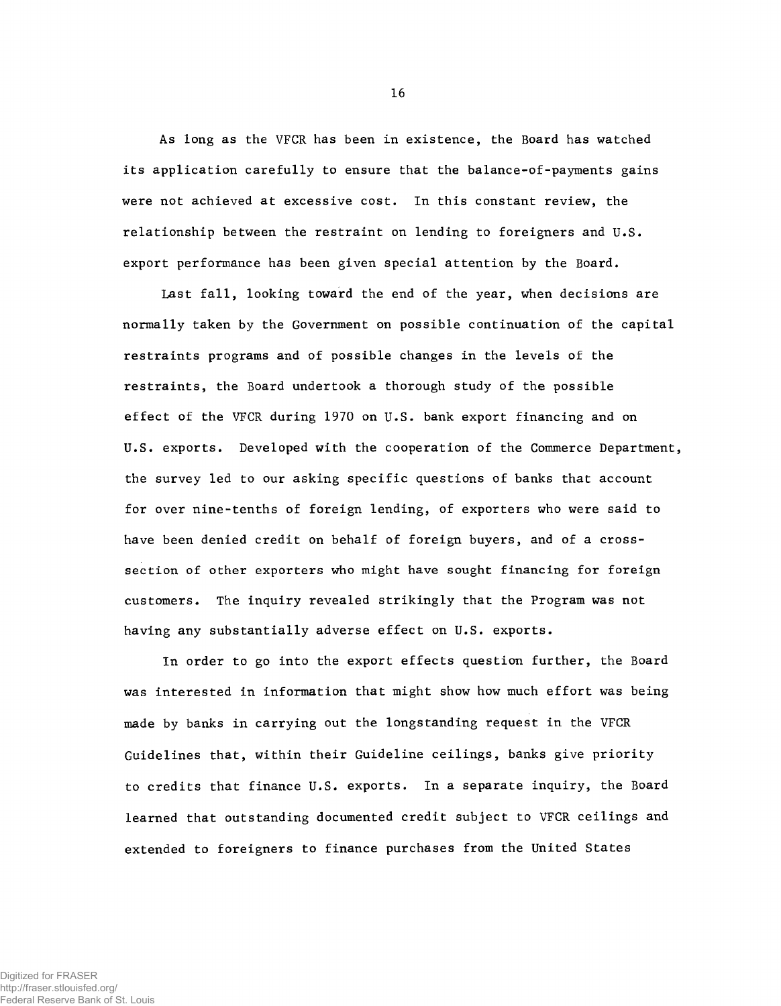As long as the VFCR has been in existence, the Board has watched its application carefully to ensure that the balance-of-payments gains were not achieved at excessive cost. In this constant review, the relationship between the restraint on lending to foreigners and U.S. export performance has been given special attention by the Board.

**Last fall, looking toward the end of the year, when decisions are normally taken by the Government on possible continuation of the capital restraints programs and of possible changes in the levels of the restraints, the Board undertook a thorough study of the possible effect of the VFCR during 1970 on U.S. bank export financing and on U.S. exports. Developed with the cooperation of the Commerce Department, the survey led to our asking specific questions of banks that account for over nine-tenths of foreign lending, of exporters who were said to have been denied credit on behalf of foreign buyers, and of a crosssection of other exporters who might have sought financing for foreign customers. The inquiry revealed strikingly that the Program was not having any substantially adverse effect on U.S. exports.**

In order to go into the export effects question further, the Board was interested in information that might show how much effort was being made by banks in carrying out the longstanding request in the VFCR Guidelines that, within their Guideline ceilings, banks give priority to credits that finance U.S. exports. In a separate inquiry, the Board learned that outstanding documented credit subject to VFCR ceilings and extended to foreigners to finance purchases from the United States